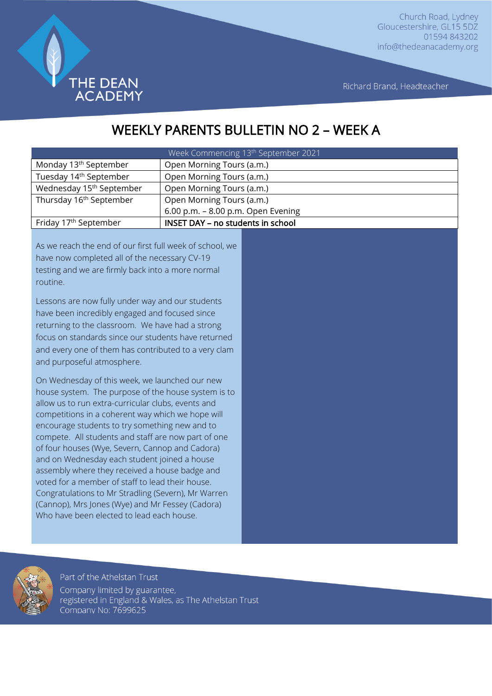

Richard Brand, Headteacher

# WEEKLY PARENTS BULLETIN NO 2 – WEEK A

| Week Commencing 13 <sup>th</sup> September 2021 |                                    |
|-------------------------------------------------|------------------------------------|
| Monday 13 <sup>th</sup> September               | Open Morning Tours (a.m.)          |
| Tuesday 14 <sup>th</sup> September              | Open Morning Tours (a.m.)          |
| Wednesday 15 <sup>th</sup> September            | Open Morning Tours (a.m.)          |
| Thursday 16 <sup>th</sup> September             | Open Morning Tours (a.m.)          |
|                                                 | 6.00 p.m. - 8.00 p.m. Open Evening |
| Friday 17 <sup>th</sup> September               | INSET DAY - no students in school  |

As we reach the end of our first full week of school, we have now completed all of the necessary CV-19 testing and we are firmly back into a more normal routine.

Lessons are now fully under way and our students have been incredibly engaged and focused since returning to the classroom. We have had a strong focus on standards since our students have returned and every one of them has contributed to a very clam and purposeful atmosphere.

On Wednesday of this week, we launched our new house system. The purpose of the house system is to allow us to run extra-curricular clubs, events and competitions in a coherent way which we hope will encourage students to try something new and to compete. All students and staff are now part of one of four houses (Wye, Severn, Cannop and Cadora) and on Wednesday each student joined a house assembly where they received a house badge and voted for a member of staff to lead their house. Congratulations to Mr Stradling (Severn), Mr Warren (Cannop), Mrs Jones (Wye) and Mr Fessey (Cadora) Who have been elected to lead each house.

registered in England & Wales, as The Athelstan Trust

Part of the Athelstan Trust Company limited by guarantee,

Company No: 7699625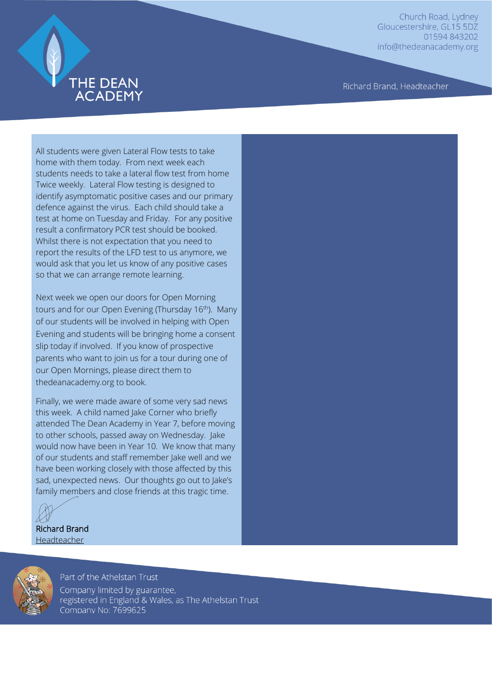

Richard Brand, Headteacher

All students were given Lateral Flow tests to take home with them today. From next week each students needs to take a lateral flow test from home Twice weekly. Lateral Flow testing is designed to identify asymptomatic positive cases and our primary defence against the virus. Each child should take a test at home on Tuesday and Friday. For any positive result a confirmatory PCR test should be booked. Whilst there is not expectation that you need to report the results of the LFD test to us anymore, we would ask that you let us know of any positive cases so that we can arrange remote learning.

Next week we open our doors for Open Morning tours and for our Open Evening (Thursday 16<sup>th</sup>). Many of our students will be involved in helping with Open Evening and students will be bringing home a consent slip today if involved. If you know of prospective parents who want to join us for a tour during one of our Open Mornings, please direct them to thedeanacademy.org to book.

Finally, we were made aware of some very sad news this week. A child named lake Corner who briefly attended The Dean Academy in Year 7, before moving to other schools, passed away on Wednesday. Jake would now have been in Year 10. We know that many of our students and staff remember Jake well and we have been working closely with those affected by this sad, unexpected news. Our thoughts go out to Jake's family members and close friends at this tragic time.



Richard Brand Headteacher



Part of the Athelstan Trust Company limited by guarantee, registered in England & Wales, as The Athelstan Trust Company No: 7699625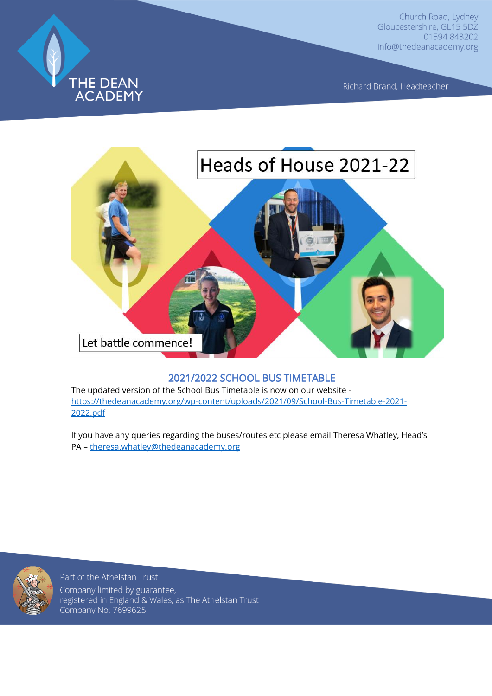

Richard Brand, Headteacher



#### 2021/2022 SCHOOL BUS TIMETABLE

The updated version of the School Bus Timetable is now on our website [https://thedeanacademy.org/wp-content/uploads/2021/09/School-Bus-Timetable-2021-](https://thedeanacademy.org/wp-content/uploads/2021/09/School-Bus-Timetable-2021-2022.pdf) [2022.pdf](https://thedeanacademy.org/wp-content/uploads/2021/09/School-Bus-Timetable-2021-2022.pdf)

If you have any queries regarding the buses/routes etc please email Theresa Whatley, Head's PA – [theresa.whatley@thedeanacademy.org](mailto:theresa.whatley@thedeanacademy.org)



Part of the Athelstan Trust Company limited by guarantee, registered in England & Wales, as The Athelstan Trust Company No: 7699625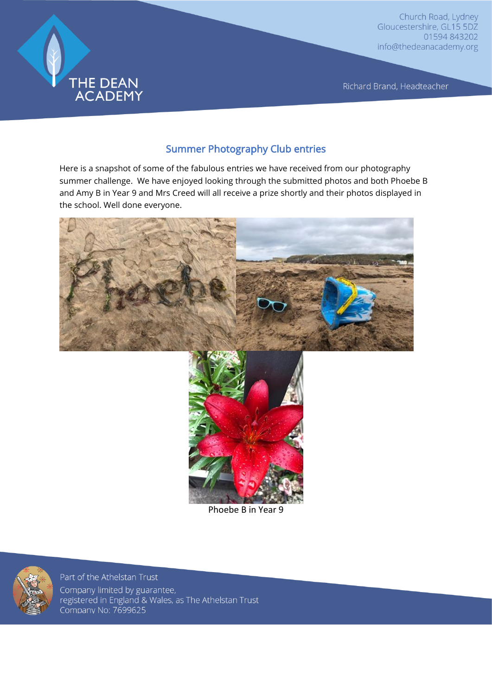

Richard Brand, Headteacher

#### Summer Photography Club entries

Here is a snapshot of some of the fabulous entries we have received from our photography summer challenge. We have enjoyed looking through the submitted photos and both Phoebe B and Amy B in Year 9 and Mrs Creed will all receive a prize shortly and their photos displayed in the school. Well done everyone.





Phoebe B in Year 9



Part of the Athelstan Trust

Company limited by guarantee, registered in England & Wales, as The Athelstan Trust Company No: 7699625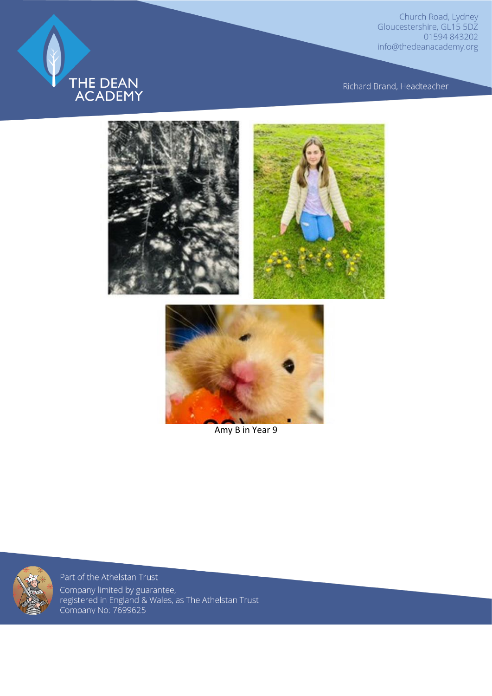

Richard Brand, Headteacher



Amy B in Year 9



Part of the Athelstan Trust Company limited by guarantee,<br>registered in England & Wales, as The Athelstan Trust<br>Company No: 7699625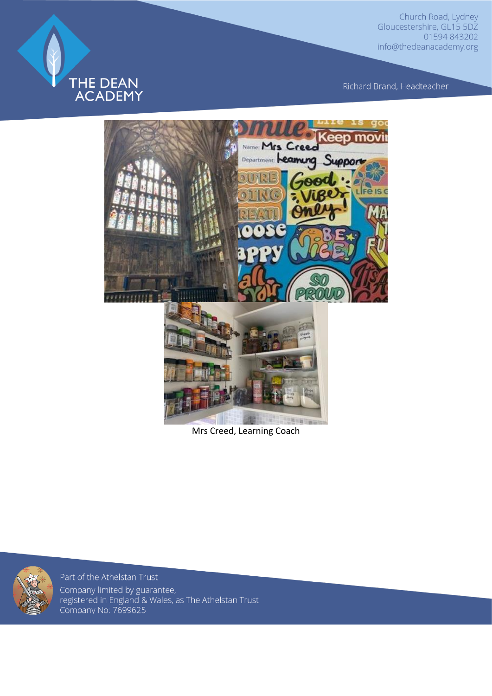

Richard Brand, Headteacher



Mrs Creed, Learning Coach



Part of the Athelstan Trust Company limited by guarantee,<br>registered in England & Wales, as The Athelstan Trust<br>Company No: 7699625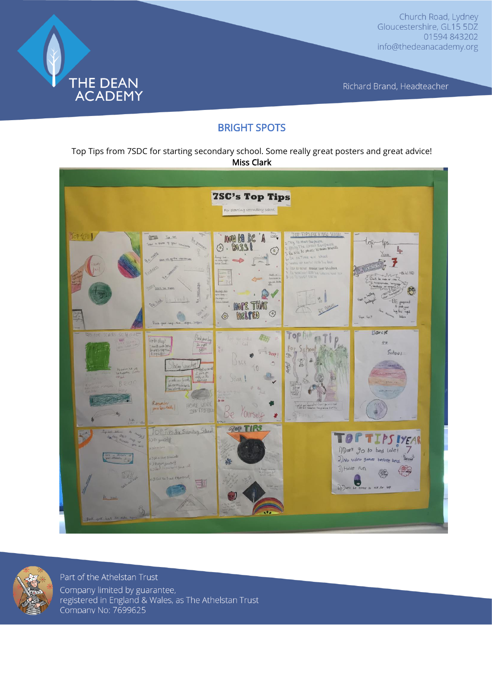

Richard Brand, Headteacher

### BRIGHT SPOTS

Top Tips from 7SDC for starting secondary school. Some really great posters and great advice! Miss Clark





Part of the Athelstan Trust Company limited by guarantee, registered in England & Wales, as The Athelstan Trust Company No: 7699625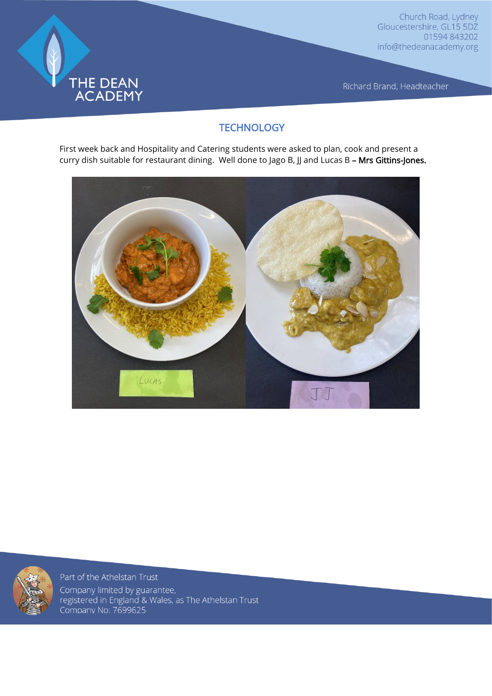

Richard Brand, Headteacher

## **TECHNOLOGY**

First week back and Hospitality and Catering students were asked to plan, cook and present a curry dish suitable for restaurant dining. Well done to Jago B, JJ and Lucas B - Mrs Gittins-Jones.





Part of the Athelstan Trust Company limited by guarantee, registered in England & Wales, as The Athelstan Trust<br>Company No: 7699625